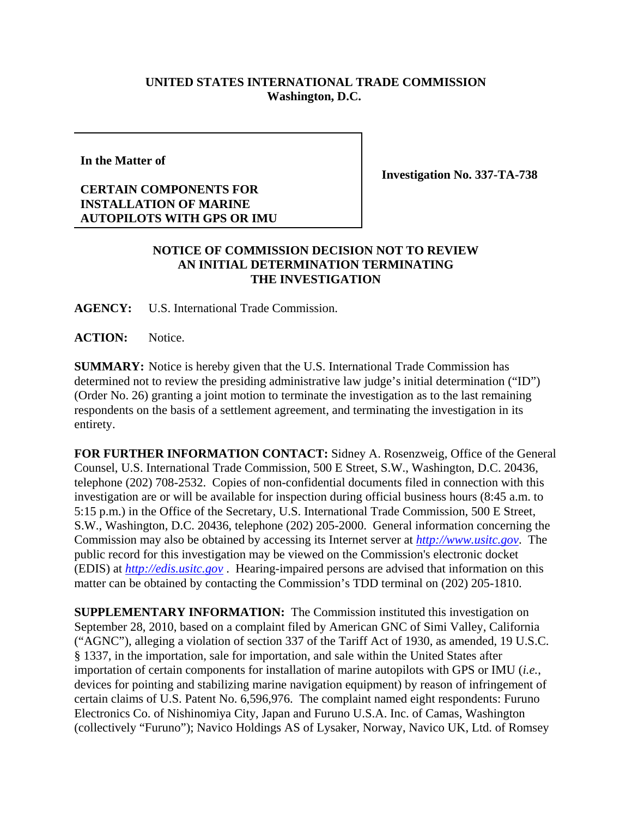## **UNITED STATES INTERNATIONAL TRADE COMMISSION Washington, D.C.**

**In the Matter of**

## **CERTAIN COMPONENTS FOR INSTALLATION OF MARINE AUTOPILOTS WITH GPS OR IMU**

**Investigation No. 337-TA-738**

## **NOTICE OF COMMISSION DECISION NOT TO REVIEW AN INITIAL DETERMINATION TERMINATING THE INVESTIGATION**

**AGENCY:** U.S. International Trade Commission.

**ACTION:** Notice.

**SUMMARY:** Notice is hereby given that the U.S. International Trade Commission has determined not to review the presiding administrative law judge's initial determination ("ID") (Order No. 26) granting a joint motion to terminate the investigation as to the last remaining respondents on the basis of a settlement agreement, and terminating the investigation in its entirety.

**FOR FURTHER INFORMATION CONTACT:** Sidney A. Rosenzweig, Office of the General Counsel, U.S. International Trade Commission, 500 E Street, S.W., Washington, D.C. 20436, telephone (202) 708-2532. Copies of non-confidential documents filed in connection with this investigation are or will be available for inspection during official business hours (8:45 a.m. to 5:15 p.m.) in the Office of the Secretary, U.S. International Trade Commission, 500 E Street, S.W., Washington, D.C. 20436, telephone (202) 205-2000. General information concerning the Commission may also be obtained by accessing its Internet server at *http://www.usitc.gov*. The public record for this investigation may be viewed on the Commission's electronic docket (EDIS) at *http://edis.usitc.gov* . Hearing-impaired persons are advised that information on this matter can be obtained by contacting the Commission's TDD terminal on (202) 205-1810.

**SUPPLEMENTARY INFORMATION:** The Commission instituted this investigation on September 28, 2010, based on a complaint filed by American GNC of Simi Valley, California ("AGNC"), alleging a violation of section 337 of the Tariff Act of 1930, as amended, 19 U.S.C. § 1337, in the importation, sale for importation, and sale within the United States after importation of certain components for installation of marine autopilots with GPS or IMU (*i.e.*, devices for pointing and stabilizing marine navigation equipment) by reason of infringement of certain claims of U.S. Patent No. 6,596,976. The complaint named eight respondents: Furuno Electronics Co. of Nishinomiya City, Japan and Furuno U.S.A. Inc. of Camas, Washington (collectively "Furuno"); Navico Holdings AS of Lysaker, Norway, Navico UK, Ltd. of Romsey